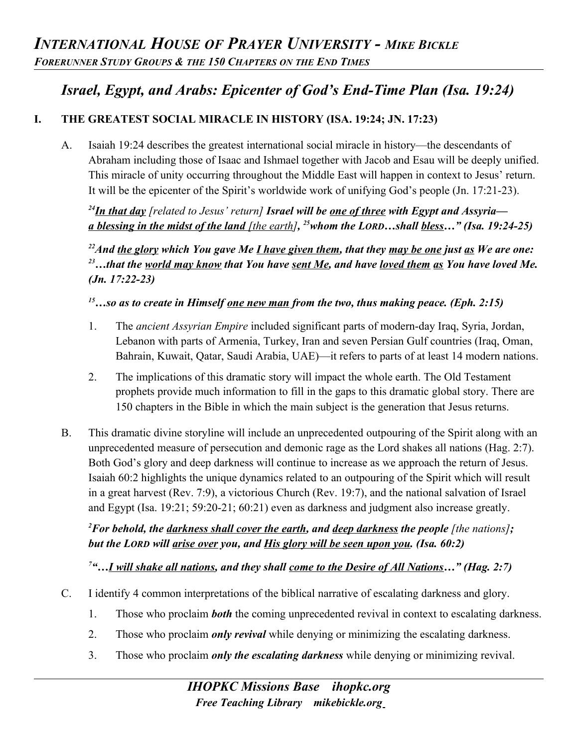# *Israel, Egypt, and Arabs: Epicenter of God's End-Time Plan (Isa. 19:24)*

## **I. THE GREATEST SOCIAL MIRACLE IN HISTORY (ISA. 19:24; JN. 17:23)**

A. Isaiah 19:24 describes the greatest international social miracle in history—the descendants of Abraham including those of Isaac and Ishmael together with Jacob and Esau will be deeply unified. This miracle of unity occurring throughout the Middle East will happen in context to Jesus' return. It will be the epicenter of the Spirit's worldwide work of unifying God's people (Jn. 17:21-23).

*<sup>24</sup>In that day [related to Jesus' return] Israel will be one of three with Egypt and Assyria a blessing in the midst of the land [the earth], <sup>25</sup>whom the LORD…shall bless…" (Isa. 19:24-25)* 

*<sup>22</sup>And the glory which You gave Me I have given them, that they may be one just as We are one: <sup>23</sup>…that the world may know that You have sent Me, and have loved them as You have loved Me. (Jn. 17:22-23)* 

### *<sup>15</sup>…so as to create in Himself one new man from the two, thus making peace. (Eph. 2:15)*

- 1. The *ancient Assyrian Empire* included significant parts of modern-day Iraq, Syria, Jordan, Lebanon with parts of Armenia, Turkey, Iran and seven Persian Gulf countries (Iraq, Oman, Bahrain, Kuwait, Qatar, Saudi Arabia, UAE)—it refers to parts of at least 14 modern nations.
- 2. The implications of this dramatic story will impact the whole earth. The Old Testament prophets provide much information to fill in the gaps to this dramatic global story. There are 150 chapters in the Bible in which the main subject is the generation that Jesus returns.
- B. This dramatic divine storyline will include an unprecedented outpouring of the Spirit along with an unprecedented measure of persecution and demonic rage as the Lord shakes all nations (Hag. 2:7). Both God's glory and deep darkness will continue to increase as we approach the return of Jesus. Isaiah 60:2 highlights the unique dynamics related to an outpouring of the Spirit which will result in a great harvest (Rev. 7:9), a victorious Church (Rev. 19:7), and the national salvation of Israel and Egypt (Isa. 19:21; 59:20-21; 60:21) even as darkness and judgment also increase greatly.

*<sup>2</sup>For behold, the darkness shall cover the earth, and deep darkness the people [the nations]; but the LORD will arise over you, and His glory will be seen upon you. (Isa. 60:2)* 

*<sup>7</sup>"…I will shake all nations, and they shall come to the Desire of All Nations…" (Hag. 2:7)* 

- C. I identify 4 common interpretations of the biblical narrative of escalating darkness and glory.
	- 1. Those who proclaim *both* the coming unprecedented revival in context to escalating darkness.
	- 2. Those who proclaim *only revival* while denying or minimizing the escalating darkness.
	- 3. Those who proclaim *only the escalating darkness* while denying or minimizing revival.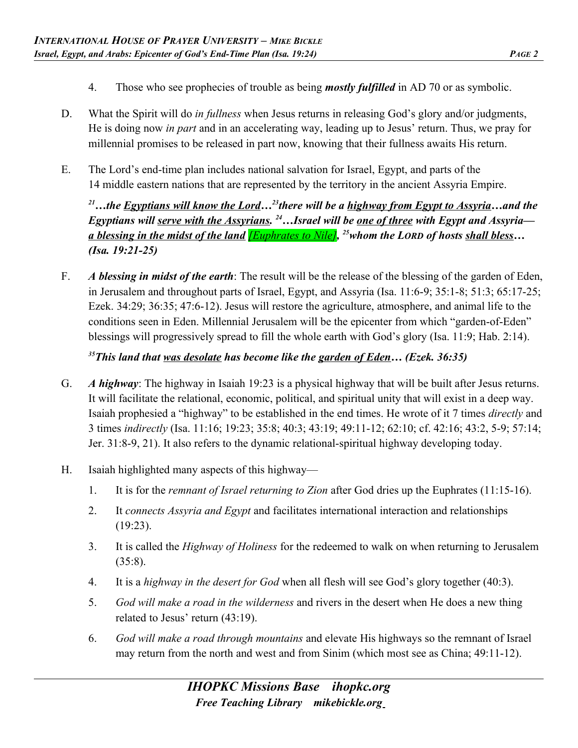- 4. Those who see prophecies of trouble as being *mostly fulfilled* in AD 70 or as symbolic.
- D. What the Spirit will do *in fullness* when Jesus returns in releasing God's glory and/or judgments, He is doing now *in part* and in an accelerating way, leading up to Jesus' return. Thus, we pray for millennial promises to be released in part now, knowing that their fullness awaits His return.
- E. The Lord's end-time plan includes national salvation for Israel, Egypt, and parts of the 14 middle eastern nations that are represented by the territory in the ancient Assyria Empire.

*<sup>21</sup>…the Egyptians will know the Lord…<sup>23</sup>there will be a highway from Egypt to Assyria…and the Egyptians will serve with the Assyrians. <sup>24</sup>…Israel will be one of three with Egypt and Assyria a blessing in the midst of the land [Euphrates to Nile], <sup>25</sup>whom the LORD of hosts shall bless… (Isa. 19:21-25)* 

F. *A blessing in midst of the earth*: The result will be the release of the blessing of the garden of Eden, in Jerusalem and throughout parts of Israel, Egypt, and Assyria (Isa. 11:6-9; 35:1-8; 51:3; 65:17-25; Ezek. 34:29; 36:35; 47:6-12). Jesus will restore the agriculture, atmosphere, and animal life to the conditions seen in Eden. Millennial Jerusalem will be the epicenter from which "garden-of-Eden" blessings will progressively spread to fill the whole earth with God's glory (Isa. 11:9; Hab. 2:14).

### *<sup>35</sup>This land that was desolate has become like the garden of Eden… (Ezek. 36:35)*

- G. *A highway*: The highway in Isaiah 19:23 is a physical highway that will be built after Jesus returns. It will facilitate the relational, economic, political, and spiritual unity that will exist in a deep way. Isaiah prophesied a "highway" to be established in the end times. He wrote of it 7 times *directly* and 3 times *indirectly* (Isa. 11:16; 19:23; 35:8; 40:3; 43:19; 49:11-12; 62:10; cf. 42:16; 43:2, 5-9; 57:14; Jer. 31:8-9, 21). It also refers to the dynamic relational-spiritual highway developing today.
- H. Isaiah highlighted many aspects of this highway—
	- 1. It is for the *remnant of Israel returning to Zion* after God dries up the Euphrates (11:15-16).
	- 2. It *connects Assyria and Egypt* and facilitates international interaction and relationships  $(19:23)$ .
	- 3. It is called the *Highway of Holiness* for the redeemed to walk on when returning to Jerusalem (35:8).
	- 4. It is a *highway in the desert for God* when all flesh will see God's glory together (40:3).
	- 5. *God will make a road in the wilderness* and rivers in the desert when He does a new thing related to Jesus' return (43:19).
	- 6. *God will make a road through mountains* and elevate His highways so the remnant of Israel may return from the north and west and from Sinim (which most see as China; 49:11-12).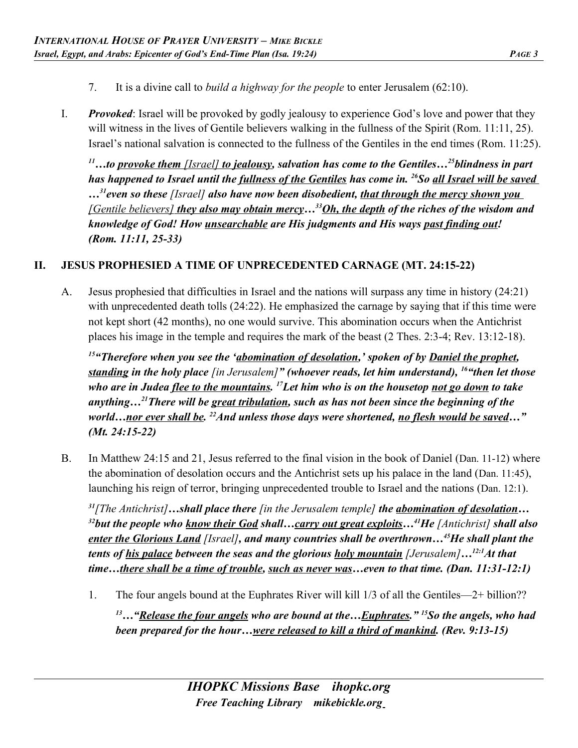- 7. It is a divine call to *build a highway for the people* to enter Jerusalem (62:10).
- I. *Provoked*: Israel will be provoked by godly jealousy to experience God's love and power that they will witness in the lives of Gentile believers walking in the fullness of the Spirit (Rom. 11:11, 25). Israel's national salvation is connected to the fullness of the Gentiles in the end times (Rom. 11:25).

*<sup>11</sup>…to provoke them [Israel] to jealousy, salvation has come to the Gentiles…<sup>25</sup>blindness in part has happened to Israel until the fullness of the Gentiles has come in. <sup>26</sup>So all Israel will be saved …<sup>31</sup>even so these [Israel] also have now been disobedient, that through the mercy shown you [Gentile believers] they also may obtain mercy…<sup>33</sup>Oh, the depth of the riches of the wisdom and knowledge of God! How unsearchable are His judgments and His ways past finding out! (Rom. 11:11, 25-33)* 

#### **II. JESUS PROPHESIED A TIME OF UNPRECEDENTED CARNAGE (MT. 24:15-22)**

A. Jesus prophesied that difficulties in Israel and the nations will surpass any time in history (24:21) with unprecedented death tolls (24:22). He emphasized the carnage by saying that if this time were not kept short (42 months), no one would survive. This abomination occurs when the Antichrist places his image in the temple and requires the mark of the beast (2 Thes. 2:3-4; Rev. 13:12-18).

*<sup>15</sup>"Therefore when you see the 'abomination of desolation,' spoken of by Daniel the prophet, standing in the holy place [in Jerusalem]" (whoever reads, let him understand), <sup>16</sup>"then let those who are in Judea flee to the mountains. <sup>17</sup>Let him who is on the housetop not go down to take anything…<sup>21</sup>There will be great tribulation, such as has not been since the beginning of the world…nor ever shall be. <sup>22</sup>And unless those days were shortened, no flesh would be saved…" (Mt. 24:15-22)* 

B. In Matthew 24:15 and 21, Jesus referred to the final vision in the book of Daniel (Dan. 11-12) where the abomination of desolation occurs and the Antichrist sets up his palace in the land (Dan. 11:45), launching his reign of terror, bringing unprecedented trouble to Israel and the nations (Dan. 12:1).

*<sup>31</sup>[The Antichrist]…shall place there [in the Jerusalem temple] the abomination of desolation… <sup>32</sup>but the people who know their God shall… carry out great exploits…<sup>41</sup>He [Antichrist] shall also enter the Glorious Land [Israel], and many countries shall be overthrown…<sup>45</sup>He shall plant the tents of his palace between the seas and the glorious holy mountain [Jerusalem]…12:1At that time...there shall be a time of trouble, such as never was...even to that time. (Dan. 11:31-12:1)* 

1. The four angels bound at the Euphrates River will kill 1/3 of all the Gentiles—2+ billion?? *<sup>13</sup>…"Release the four angels who are bound at the…Euphrates." <sup>15</sup>So the angels, who had been prepared for the hour…were released to kill a third of mankind. (Rev. 9:13-15)*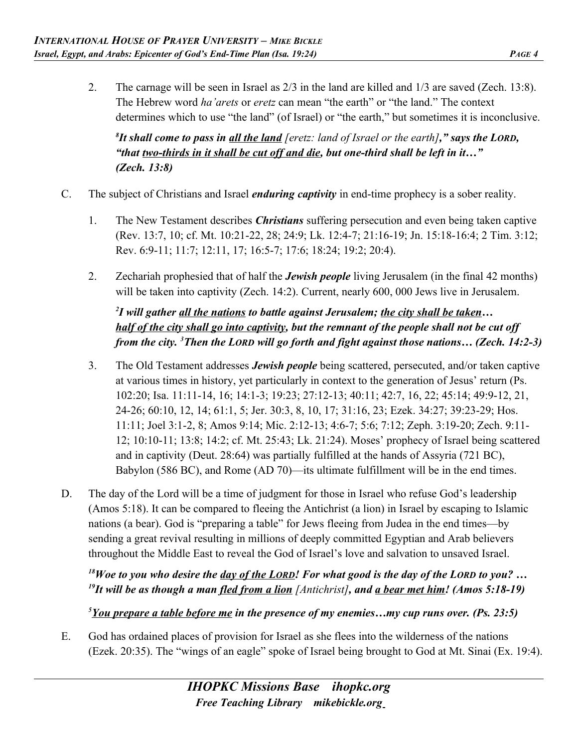2. The carnage will be seen in Israel as 2/3 in the land are killed and 1/3 are saved (Zech. 13:8). The Hebrew word *ha'arets* or *eretz* can mean "the earth" or "the land." The context determines which to use "the land" (of Israel) or "the earth," but sometimes it is inconclusive.

*8 It shall come to pass in all the land [eretz: land of Israel or the earth]," says the LORD, "that two-thirds in it shall be cut off and die, but one-third shall be left in it…" (Zech. 13:8)* 

- C. The subject of Christians and Israel *enduring captivity* in end-time prophecy is a sober reality.
	- 1. The New Testament describes *Christians* suffering persecution and even being taken captive (Rev. 13:7, 10; cf. Mt. 10:21-22, 28; 24:9; Lk. 12:4-7; 21:16-19; Jn. 15:18-16:4; 2 Tim. 3:12; Rev. 6:9-11; 11:7; 12:11, 17; 16:5-7; 17:6; 18:24; 19:2; 20:4).
	- 2. Zechariah prophesied that of half the *Jewish people* living Jerusalem (in the final 42 months) will be taken into captivity (Zech. 14:2). Current, nearly 600, 000 Jews live in Jerusalem.

# *2 I will gather all the nations to battle against Jerusalem; the city shall be taken… half of the city shall go into captivity, but the remnant of the people shall not be cut off from the city. <sup>3</sup>Then the LORD will go forth and fight against those nations… (Zech. 14:2-3)*

- 3. The Old Testament addresses *Jewish people* being scattered, persecuted, and/or taken captive at various times in history, yet particularly in context to the generation of Jesus' return (Ps. 102:20; Isa. 11:11-14, 16; 14:1-3; 19:23; 27:12-13; 40:11; 42:7, 16, 22; 45:14; 49:9-12, 21, 24-26; 60:10, 12, 14; 61:1, 5; Jer. 30:3, 8, 10, 17; 31:16, 23; Ezek. 34:27; 39:23-29; Hos. 11:11; Joel 3:1-2, 8; Amos 9:14; Mic. 2:12-13; 4:6-7; 5:6; 7:12; Zeph. 3:19-20; Zech. 9:11- 12; 10:10-11; 13:8; 14:2; cf. Mt. 25:43; Lk. 21:24). Moses' prophecy of Israel being scattered and in captivity (Deut. 28:64) was partially fulfilled at the hands of Assyria (721 BC), Babylon (586 BC), and Rome (AD 70)—its ultimate fulfillment will be in the end times.
- D. The day of the Lord will be a time of judgment for those in Israel who refuse God's leadership (Amos 5:18). It can be compared to fleeing the Antichrist (a lion) in Israel by escaping to Islamic nations (a bear). God is "preparing a table" for Jews fleeing from Judea in the end times—by sending a great revival resulting in millions of deeply committed Egyptian and Arab believers throughout the Middle East to reveal the God of Israel's love and salvation to unsaved Israel.

*<sup>18</sup>Woe to you who desire the day of the LORD! For what good is the day of the LORD to you? … <sup>19</sup>It will be as though a man fled from a lion [Antichrist], and a bear met him! (Amos 5:18-19)*

*<sup>5</sup>You prepare a table before me in the presence of my enemies…my cup runs over. (Ps. 23:5)*

E. God has ordained places of provision for Israel as she flees into the wilderness of the nations (Ezek. 20:35). The "wings of an eagle" spoke of Israel being brought to God at Mt. Sinai (Ex. 19:4).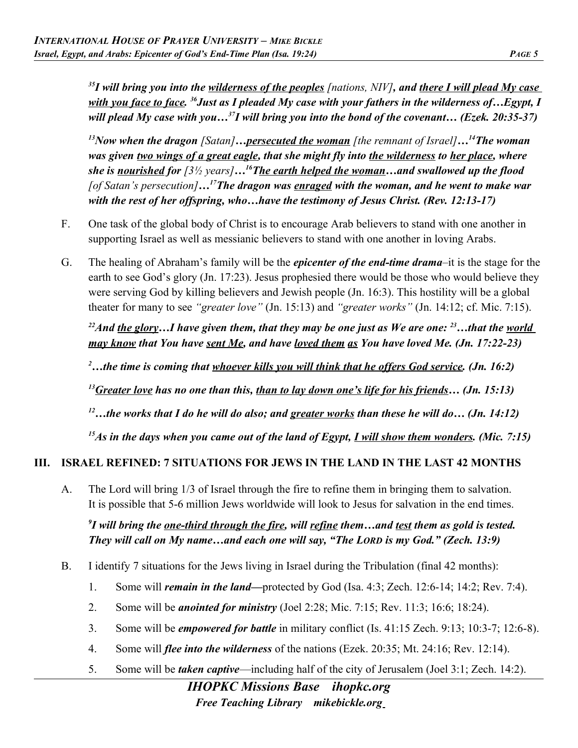*<sup>35</sup>I will bring you into the wilderness of the peoples [nations, NIV], and there I will plead My case with you face to face. <sup>36</sup>Just as I pleaded My case with your fathers in the wilderness of…Egypt, I will plead My case with you…<sup>37</sup>I will bring you into the bond of the covenant… (Ezek. 20:35-37)* 

*<sup>13</sup>Now when the dragon [Satan]…persecuted the woman [the remnant of Israel]…<sup>14</sup>The woman*  was given <u>two wings of a great eagle</u>, that she might fly into the wilderness to her place, where *she is nourished for [3½ years]…<sup>16</sup>The earth helped the woman…and swallowed up the flood [of Satan's persecution]…<sup>17</sup>The dragon was enraged with the woman, and he went to make war*  with the rest of her offspring, who...have the testimony of Jesus Christ. (Rev. 12:13-17)

- F. One task of the global body of Christ is to encourage Arab believers to stand with one another in supporting Israel as well as messianic believers to stand with one another in loving Arabs.
- G. The healing of Abraham's family will be the *epicenter of the end-time drama*–it is the stage for the earth to see God's glory (Jn. 17:23). Jesus prophesied there would be those who would believe they were serving God by killing believers and Jewish people (Jn. 16:3). This hostility will be a global theater for many to see *"greater love"* (Jn. 15:13) and *"greater works"* (Jn. 14:12; cf. Mic. 7:15).

*<sup>22</sup>And the glory…I have given them, that they may be one just as We are one: <sup>23</sup>…that the world may know that You have sent Me, and have loved them as You have loved Me. (Jn. 17:22-23)* 

*<sup>2</sup>…the time is coming that whoever kills you will think that he offers God service. (Jn. 16:2)* 

*<sup>13</sup>Greater love has no one than this, than to lay down one's life for his friends… (Jn. 15:13)* 

*<sup>12</sup>…the works that I do he will do also; and greater works than these he will do… (Jn. 14:12)* 

*<sup>15</sup>As in the days when you came out of the land of Egypt, I will show them wonders. (Mic. 7:15)* 

### **III. ISRAEL REFINED: 7 SITUATIONS FOR JEWS IN THE LAND IN THE LAST 42 MONTHS**

A. The Lord will bring 1/3 of Israel through the fire to refine them in bringing them to salvation. It is possible that 5-6 million Jews worldwide will look to Jesus for salvation in the end times.

*9 I will bring the one -third through the fire, will refine them…and test them as gold is tested. They will call on My name…and each one will say, "The LORD is my God." (Zech. 13:9)* 

- B. I identify 7 situations for the Jews living in Israel during the Tribulation (final 42 months):
	- 1. Some will *remain in the land—*protected by God (Isa. 4:3; Zech. 12:6-14; 14:2; Rev. 7:4).
	- 2. Some will be *anointed for ministry* (Joel 2:28; Mic. 7:15; Rev. 11:3; 16:6; 18:24).
	- 3. Some will be *empowered for battle* in military conflict (Is. 41:15 Zech. 9:13; 10:3-7; 12:6-8).
	- 4. Some will *flee into the wilderness* of the nations (Ezek. 20:35; Mt. 24:16; Rev. 12:14).
	- 5. Some will be *taken captive*—including half of the city of Jerusalem (Joel 3:1; Zech. 14:2).

*IHOPKC Missions Base ihopkc.org Free Teaching Library mikebickle.org*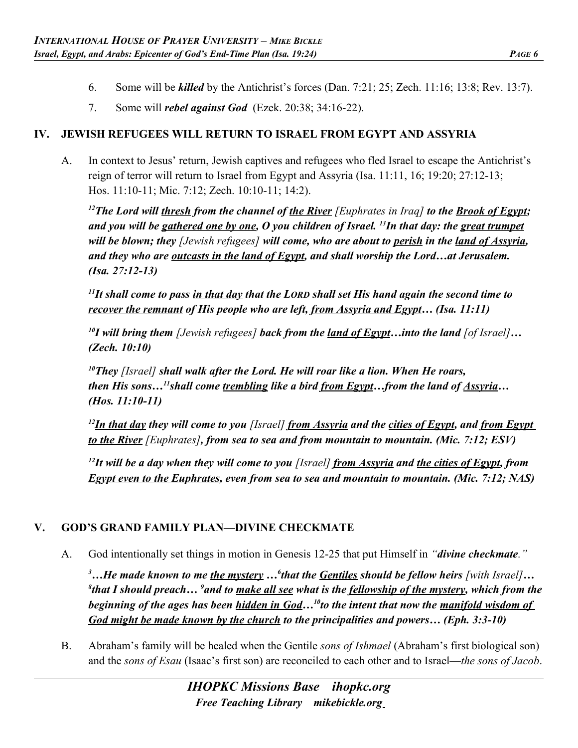- 6. Some will be *killed* by the Antichrist's forces (Dan. 7:21; 25; Zech. 11:16; 13:8; Rev. 13:7).
- 7. Some will *rebel against God* (Ezek. 20:38; 34:16-22).

### **IV. JEWISH REFUGEES WILL RETURN TO ISRAEL FROM EGYPT AND ASSYRIA**

A. In context to Jesus' return, Jewish captives and refugees who fled Israel to escape the Antichrist's reign of terror will return to Israel from Egypt and Assyria (Isa. 11:11, 16; 19:20; 27:12-13; Hos. 11:10-11; Mic. 7:12; Zech. 10:10-11; 14:2).

*<sup>12</sup>The Lord will thresh from the channel of the River [Euphrates in Iraq] to the Brook of Egypt; and you will be gathered one by one, O you children of Israel. <sup>13</sup>In that day: the great trumpet will be blown; they [Jewish refugees] will come, who are about to perish in the land of Assyria, and they who are outcasts in the land of Egypt, and shall worship the Lord…at Jerusalem. (Isa. 27:12-13)* 

*<sup>11</sup>It shall come to pass in that day that the LORD shall set His hand again the second time to recover the remnant of His people who are left, from Assyria and Egypt… (Isa. 11:11)* 

*<sup>10</sup>I will bring them [Jewish refugees] back from the land of Egypt…into the land [of Israel]… (Zech. 10:10)* 

*<sup>10</sup>They [Israel] shall walk after the Lord. He will roar like a lion. When He roars, then His sons…<sup>11</sup>shall come trembling like a bird from Egypt…from the land of Assyria… (Hos. 11:10-11)* 

*<sup>12</sup>In that day they will come to you [Israel] from Assyria and the cities of Egypt, and from Egypt to the River [Euphrates], from sea to sea and from mountain to mountain. (Mic. 7:12; ESV)*

*<sup>12</sup>It will be a day when they will come to you [Israel] from Assyria and the cities of Egypt, from Egypt even to the Euphrates, even from sea to sea and mountain to mountain. (Mic. 7:12; NAS)*

#### **V. GOD'S GRAND FAMILY PLAN—DIVINE CHECKMATE**

A. God intentionally set things in motion in Genesis 12-25 that put Himself in *"divine checkmate."* 

*<sup>3</sup>…He made known to me the mystery …<sup>6</sup> that the Gentiles should be fellow heirs [with Israel]… 8 that I should preach… <sup>9</sup>and to make all see what is the fellowship of the mystery, which from the beginning of the ages has been hidden in God…<sup>10</sup>to the intent that now the manifold wisdom of God might be made known by the church to the principalities and powers... (Eph. 3:3-10)* 

B. Abraham's family will be healed when the Gentile *sons of Ishmael* (Abraham's first biological son) and the *sons of Esau* (Isaac's first son) are reconciled to each other and to Israel—*the sons of Jacob*.